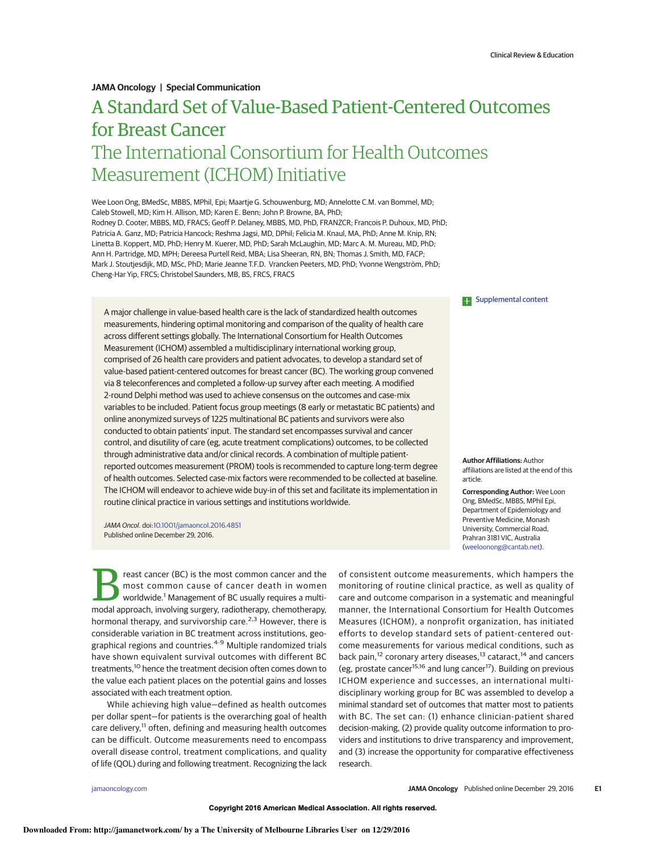#### **JAMA Oncology | Special Communication**

# A Standard Set of Value-Based Patient-Centered Outcomes for Breast Cancer The International Consortium for Health Outcomes

## Measurement (ICHOM) Initiative

Wee Loon Ong, BMedSc, MBBS, MPhil, Epi; Maartje G. Schouwenburg, MD; Annelotte C.M. van Bommel, MD; Caleb Stowell, MD; Kim H. Allison, MD; Karen E. Benn; John P. Browne, BA, PhD; Rodney D. Cooter, MBBS, MD, FRACS; Geoff P. Delaney, MBBS, MD, PhD, FRANZCR; Francois P. Duhoux, MD, PhD; Patricia A. Ganz, MD; Patricia Hancock; Reshma Jagsi, MD, DPhil; Felicia M. Knaul, MA, PhD; Anne M. Knip, RN; Linetta B. Koppert, MD, PhD; Henry M. Kuerer, MD, PhD; Sarah McLaughin, MD; Marc A. M. Mureau, MD, PhD; Ann H. Partridge, MD, MPH; Dereesa Purtell Reid, MBA; Lisa Sheeran, RN, BN; Thomas J. Smith, MD, FACP; Mark J. Stoutjesdijk, MD, MSc, PhD; Marie Jeanne T.F.D. Vrancken Peeters, MD, PhD; Yvonne Wengström, PhD; Cheng-Har Yip, FRCS; Christobel Saunders, MB, BS, FRCS, FRACS

A major challenge in value-based health care is the lack of standardized health outcomes measurements, hindering optimal monitoring and comparison of the quality of health care across different settings globally. The International Consortium for Health Outcomes Measurement (ICHOM) assembled a multidisciplinary international working group, comprised of 26 health care providers and patient advocates, to develop a standard set of value-based patient-centered outcomes for breast cancer (BC). The working group convened via 8 teleconferences and completed a follow-up survey after each meeting. A modified 2-round Delphi method was used to achieve consensus on the outcomes and case-mix variables to be included. Patient focus group meetings (8 early or metastatic BC patients) and online anonymized surveys of 1225 multinational BC patients and survivors were also conducted to obtain patients' input. The standard set encompasses survival and cancer control, and disutility of care (eg, acute treatment complications) outcomes, to be collected through administrative data and/or clinical records. A combination of multiple patientreported outcomes measurement (PROM) tools is recommended to capture long-term degree of health outcomes. Selected case-mix factors were recommended to be collected at baseline. The ICHOM will endeavor to achieve wide buy-in of this set and facilitate its implementation in routine clinical practice in various settings and institutions worldwide.

*JAMA Oncol*. doi:10.1001/jamaoncol.2016.4851 Published online December 29, 2016.

**EX Supplemental content** 

**Author Affiliations:** Author affiliations are listed at the end of this article.

**Corresponding Author:** Wee Loon Ong, BMedSc, MBBS, MPhil Epi, Department of Epidemiology and Preventive Medicine, Monash University, Commercial Road, Prahran 3181 VIC, Australia (weeloonong@cantab.net).

reast cancer (BC) is the most common cancer and the most common cause of cancer death in women worldwide.<sup>1</sup> Management of BC usually requires a multimodal approach, involving surgery, radiotherapy, chemotherapy, hormonal therapy, and survivorship care.<sup>2,3</sup> However, there is considerable variation in BC treatment across institutions, geographical regions and countries.<sup>4-9</sup> Multiple randomized trials have shown equivalent survival outcomes with different BC treatments,<sup>10</sup> hence the treatment decision often comes down to the value each patient places on the potential gains and losses associated with each treatment option.

While achieving high value—defined as health outcomes per dollar spent—for patients is the overarching goal of health care delivery,<sup>11</sup> often, defining and measuring health outcomes can be difficult. Outcome measurements need to encompass overall disease control, treatment complications, and quality of life (QOL) during and following treatment. Recognizing the lack of consistent outcome measurements, which hampers the monitoring of routine clinical practice, as well as quality of care and outcome comparison in a systematic and meaningful manner, the International Consortium for Health Outcomes Measures (ICHOM), a nonprofit organization, has initiated efforts to develop standard sets of patient-centered outcome measurements for various medical conditions, such as back pain,<sup>12</sup> coronary artery diseases,<sup>13</sup> cataract,<sup>14</sup> and cancers (eg, prostate cancer<sup>15,16</sup> and lung cancer<sup>17</sup>). Building on previous ICHOM experience and successes, an international multidisciplinary working group for BC was assembled to develop a minimal standard set of outcomes that matter most to patients with BC. The set can: (1) enhance clinician-patient shared decision-making, (2) provide quality outcome information to providers and institutions to drive transparency and improvement, and (3) increase the opportunity for comparative effectiveness research.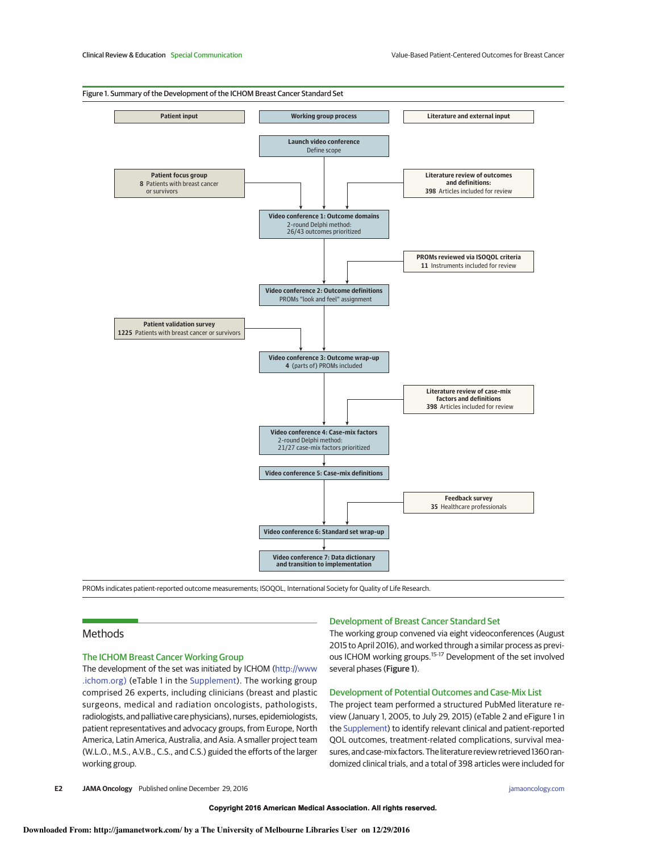

PROMs indicates patient-reported outcome measurements; ISOQOL, International Society for Quality of Life Research.

## Methods

#### The ICHOM Breast Cancer Working Group

The development of the set was initiated by ICHOM (http://www .ichom.org) (eTable 1 in the Supplement). The working group comprised 26 experts, including clinicians (breast and plastic surgeons, medical and radiation oncologists, pathologists, radiologists, and palliative care physicians), nurses, epidemiologists, patient representatives and advocacy groups, from Europe, North America, Latin America, Australia, and Asia. A smaller project team (W.L.O., M.S., A.V.B., C.S., and C.S.) guided the efforts of the larger working group.

#### Development of Breast Cancer Standard Set

The working group convened via eight videoconferences (August 2015 to April 2016), and worked through a similar process as previous ICHOM working groups.<sup>15-17</sup> Development of the set involved several phases (Figure 1).

#### Development of Potential Outcomes and Case-Mix List

The project team performed a structured PubMed literature review (January 1, 2005, to July 29, 2015) (eTable 2 and eFigure 1 in the Supplement) to identify relevant clinical and patient-reported QOL outcomes, treatment-related complications, survival measures, and case-mix factors. The literature review retrieved 1360 randomized clinical trials, and a total of 398 articles were included for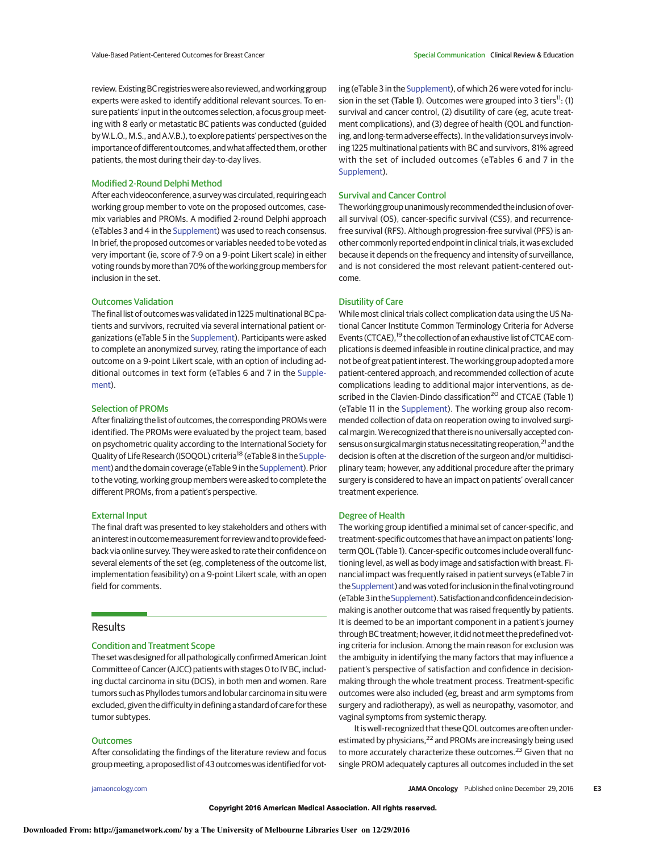review. Existing BC registries were also reviewed, and working group experts were asked to identify additional relevant sources. To ensure patients' input in the outcomes selection, a focus group meeting with 8 early or metastatic BC patients was conducted (guided byW.L.O., M.S., and A.V.B.), to explore patients' perspectives on the importance of different outcomes, and what affected them, or other patients, the most during their day-to-day lives.

#### Modified 2-Round Delphi Method

After each videoconference, a survey was circulated, requiring each working group member to vote on the proposed outcomes, casemix variables and PROMs. A modified 2-round Delphi approach (eTables 3 and 4 in the Supplement) was used to reach consensus. In brief, the proposed outcomes or variables needed to be voted as very important (ie, score of 7-9 on a 9-point Likert scale) in either voting rounds by more than 70% of the working group members for inclusion in the set.

#### Outcomes Validation

The final list of outcomes was validated in 1225 multinational BC patients and survivors, recruited via several international patient organizations (eTable 5 in the Supplement). Participants were asked to complete an anonymized survey, rating the importance of each outcome on a 9-point Likert scale, with an option of including additional outcomes in text form (eTables 6 and 7 in the Supplement).

#### Selection of PROMs

After finalizing the list of outcomes, the corresponding PROMs were identified. The PROMs were evaluated by the project team, based on psychometric quality according to the International Society for Quality of Life Research (ISOQOL) criteria<sup>18</sup> (eTable 8 in the Supplement) and the domain coverage (eTable 9 in the Supplement). Prior to the voting, working group members were asked to complete the different PROMs, from a patient's perspective.

#### External Input

The final draft was presented to key stakeholders and others with an interest in outcome measurement for review and to provide feedback via online survey. They were asked to rate their confidence on several elements of the set (eg, completeness of the outcome list, implementation feasibility) on a 9-point Likert scale, with an open field for comments.

#### Results

#### Condition and Treatment Scope

The set was designed for all pathologically confirmed American Joint Committee of Cancer (AJCC) patients with stages 0 to IV BC, including ductal carcinoma in situ (DCIS), in both men and women. Rare tumors such as Phyllodes tumors and lobular carcinoma in situ were excluded, given the difficulty in defining a standard of care for these tumor subtypes.

#### **Outcomes**

After consolidating the findings of the literature review and focus group meeting, a proposed list of 43 outcomes was identified for vot-

ing (eTable 3 in the Supplement), of which 26 were voted for inclusion in the set (Table 1). Outcomes were grouped into 3 tiers<sup>11</sup>: (1) survival and cancer control, (2) disutility of care (eg, acute treatment complications), and (3) degree of health (QOL and functioning, and long-term adverse effects). In the validation surveys involving 1225 multinational patients with BC and survivors, 81% agreed with the set of included outcomes (eTables 6 and 7 in the Supplement).

#### Survival and Cancer Control

Theworking group unanimously recommended the inclusion of overall survival (OS), cancer-specific survival (CSS), and recurrencefree survival (RFS). Although progression-free survival (PFS) is another commonly reported endpoint in clinical trials, it was excluded because it depends on the frequency and intensity of surveillance, and is not considered the most relevant patient-centered outcome.

#### Disutility of Care

While most clinical trials collect complication data using the US National Cancer Institute Common Terminology Criteria for Adverse Events (CTCAE),19 the collection of an exhaustive list of CTCAE complications is deemed infeasible in routine clinical practice, and may not be of great patient interest. The working group adopted a more patient-centered approach, and recommended collection of acute complications leading to additional major interventions, as described in the Clavien-Dindo classification<sup>20</sup> and CTCAE (Table 1) (eTable 11 in the Supplement). The working group also recommended collection of data on reoperation owing to involved surgicalmargin.We recognized that there is no universally accepted consensus on surgical margin status necessitating reoperation, $21$  and the decision is often at the discretion of the surgeon and/or multidisciplinary team; however, any additional procedure after the primary surgery is considered to have an impact on patients' overall cancer treatment experience.

#### Degree of Health

The working group identified a minimal set of cancer-specific, and treatment-specific outcomes that have an impact on patients' longterm QOL (Table 1). Cancer-specific outcomes include overall functioning level, as well as body image and satisfaction with breast. Financial impact was frequently raised in patient surveys (eTable 7 in the Supplement) and was voted for inclusion in the final voting round (eTable 3 in the Supplement). Satisfaction and confidence in decisionmaking is another outcome that was raised frequently by patients. It is deemed to be an important component in a patient's journey through BC treatment; however, it did not meet the predefined voting criteria for inclusion. Among the main reason for exclusion was the ambiguity in identifying the many factors that may influence a patient's perspective of satisfaction and confidence in decisionmaking through the whole treatment process. Treatment-specific outcomes were also included (eg, breast and arm symptoms from surgery and radiotherapy), as well as neuropathy, vasomotor, and vaginal symptoms from systemic therapy.

It is well-recognized that these QOL outcomes are often underestimated by physicians,<sup>22</sup> and PROMs are increasingly being used to more accurately characterize these outcomes.<sup>23</sup> Given that no single PROM adequately captures all outcomes included in the set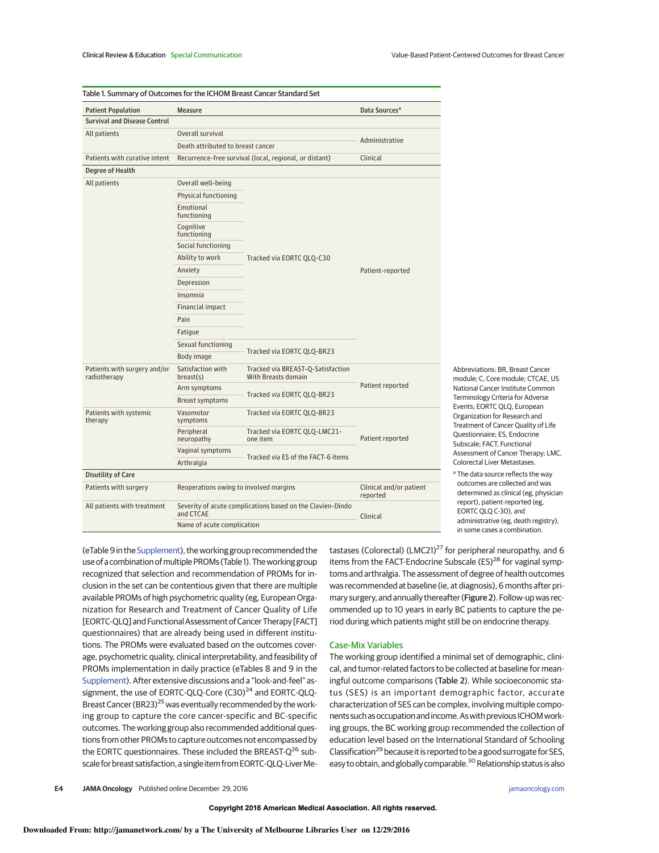| Table 1. Summary of Outcomes for the ICHOM Breast Cancer Standard Set |                                                                         |                                                          |                                     |
|-----------------------------------------------------------------------|-------------------------------------------------------------------------|----------------------------------------------------------|-------------------------------------|
| <b>Patient Population</b>                                             | <b>Measure</b>                                                          |                                                          | Data Sources <sup>a</sup>           |
| <b>Survival and Disease Control</b>                                   |                                                                         |                                                          |                                     |
| All patients                                                          | Overall survival                                                        |                                                          | Administrative                      |
|                                                                       | Death attributed to breast cancer                                       |                                                          |                                     |
| Patients with curative intent                                         | Recurrence-free survival (local, regional, or distant)                  |                                                          | Clinical                            |
| Degree of Health                                                      |                                                                         |                                                          |                                     |
| All patients                                                          | Overall well-being                                                      |                                                          | Patient-reported                    |
|                                                                       | Physical functioning                                                    | Tracked via EORTC QLQ-C30                                |                                     |
|                                                                       | Emotional<br>functioning                                                |                                                          |                                     |
|                                                                       | Cognitive<br>functioning                                                |                                                          |                                     |
|                                                                       | Social functioning                                                      |                                                          |                                     |
|                                                                       | Ability to work                                                         |                                                          |                                     |
|                                                                       | Anxiety                                                                 |                                                          |                                     |
|                                                                       | Depression                                                              |                                                          |                                     |
|                                                                       | Insomnia                                                                |                                                          |                                     |
|                                                                       | Financial impact                                                        |                                                          |                                     |
|                                                                       | Pain                                                                    |                                                          |                                     |
|                                                                       | Fatique                                                                 |                                                          |                                     |
|                                                                       | Sexual functioning                                                      | Tracked via EORTC QLQ-BR23                               |                                     |
|                                                                       | Body image                                                              |                                                          |                                     |
| Patients with surgery and/or<br>radiotherapy                          | Satisfaction with<br>break(s)                                           | Tracked via BREAST-Q-Satisfaction<br>With Breasts domain | Patient reported                    |
|                                                                       | Arm symptoms                                                            | Tracked via EORTC QLQ-BR23                               |                                     |
|                                                                       | <b>Breast symptoms</b>                                                  |                                                          |                                     |
| Patients with systemic<br>therapy                                     | Vasomotor<br>symptoms                                                   | Tracked via EORTC QLQ-BR23                               | Patient reported                    |
|                                                                       | Peripheral<br>neuropathy                                                | Tracked via EORTC QLQ-LMC21-<br>one item                 |                                     |
|                                                                       | Vaginal symptoms                                                        | Tracked via ES of the FACT-6 items                       |                                     |
|                                                                       | Arthralgia                                                              |                                                          |                                     |
| Disutility of Care                                                    |                                                                         |                                                          |                                     |
| Patients with surgery                                                 | Reoperations owing to involved margins                                  |                                                          | Clinical and/or patient<br>reported |
| All patients with treatment                                           | Severity of acute complications based on the Clavien-Dindo<br>and CTCAE |                                                          | Clinical                            |
|                                                                       | Name of acute complication                                              |                                                          |                                     |

Abbreviations: BR, Breast Cancer module; C, Core module; CTCAE, US National Cancer Institute Common Terminology Criteria for Adverse Events; EORTC QLQ, European Organization for Research and Treatment of Cancer Quality of Life Questionnaire; ES, Endocrine Subscale; FACT, Functional Assessment of Cancer Therapy; LMC, Colorectal Liver Metastases.

a The data source reflects the way outcomes are collected and was determined as clinical (eg, physician report), patient-reported (eg, EORTC QLQ C-30), and administrative (eg, death registry), in some cases a combination.

(eTable 9 in the Supplement), the working group recommended the use of a combination of multiple PROMs (Table 1). The working group recognized that selection and recommendation of PROMs for inclusion in the set can be contentious given that there are multiple available PROMs of high psychometric quality (eg, European Organization for Research and Treatment of Cancer Quality of Life [EORTC-QLQ] and Functional Assessment of Cancer Therapy [FACT] questionnaires) that are already being used in different institutions. The PROMs were evaluated based on the outcomes coverage, psychometric quality, clinical interpretability, and feasibility of PROMs implementation in daily practice (eTables 8 and 9 in the Supplement). After extensive discussions and a "look-and-feel" assignment, the use of EORTC-QLQ-Core (C30)<sup>24</sup> and EORTC-QLQ-Breast Cancer (BR23)<sup>25</sup> was eventually recommended by the working group to capture the core cancer-specific and BC-specific outcomes. The working group also recommended additional questions from other PROMs to capture outcomes not encompassed by the EORTC questionnaires. These included the BREAST-Q<sup>26</sup> subscale for breast satisfaction, a single item from EORTC-QLQ-LiverMetastases (Colorectal) (LMC21) $^{27}$  for peripheral neuropathy, and 6 items from the FACT-Endocrine Subscale (ES)<sup>28</sup> for vaginal symptoms and arthralgia. The assessment of degree of health outcomes was recommended at baseline (ie, at diagnosis), 6 months after primary surgery, and annually thereafter (Figure 2). Follow-up was recommended up to 10 years in early BC patients to capture the period during which patients might still be on endocrine therapy.

#### Case-Mix Variables

The working group identified a minimal set of demographic, clinical, and tumor-related factors to be collected at baseline for meaningful outcome comparisons (Table 2). While socioeconomic status (SES) is an important demographic factor, accurate characterization of SES can be complex, involving multiple components such as occupation and income. As with previous ICHOM working groups, the BC working group recommended the collection of education level based on the International Standard of Schooling Classification<sup>29</sup> because it is reported to be a good surrogate for SES, easy to obtain, and globally comparable.<sup>30</sup> Relationship status is also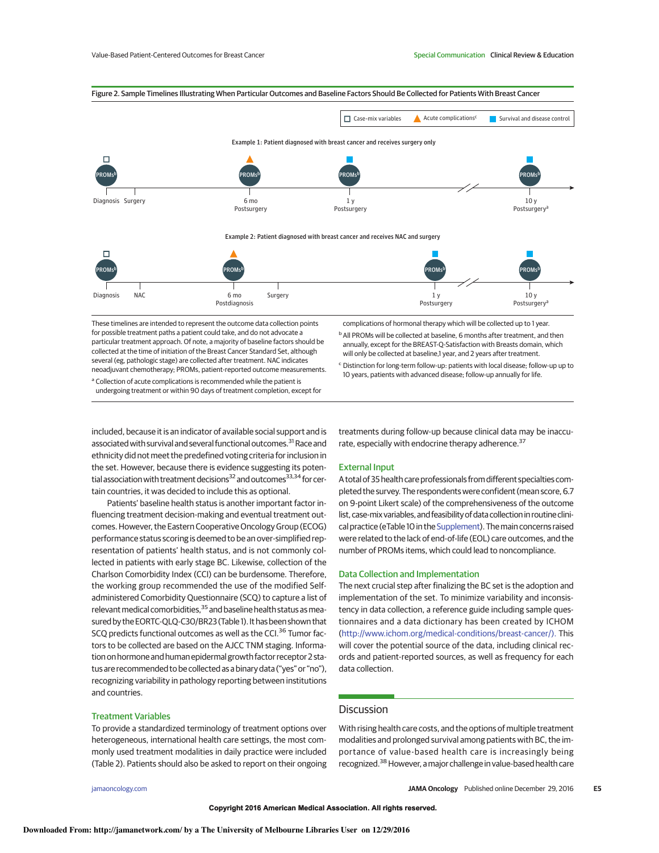

<sup>a</sup> Collection of acute complications is recommended while the patient is undergoing treatment or within 90 days of treatment completion, except for

> treatments during follow-up because clinical data may be inaccurate, especially with endocrine therapy adherence.<sup>37</sup>

associated with survival and several functional outcomes.<sup>31</sup> Race and ethnicity did not meet the predefined voting criteria for inclusion in the set. However, because there is evidence suggesting its potential association with treatment decisions<sup>32</sup> and outcomes<sup>33,34</sup> for certain countries, it was decided to include this as optional.

included, because it is an indicator of available social support and is

Patients' baseline health status is another important factor influencing treatment decision-making and eventual treatment outcomes. However, the Eastern Cooperative Oncology Group (ECOG) performance status scoring is deemed to be an over-simplified representation of patients' health status, and is not commonly collected in patients with early stage BC. Likewise, collection of the Charlson Comorbidity Index (CCI) can be burdensome. Therefore, the working group recommended the use of the modified Selfadministered Comorbidity Questionnaire (SCQ) to capture a list of relevant medical comorbidities,<sup>35</sup> and baseline health status as measured by the EORTC-QLQ-C30/BR23 (Table 1). It has been shown that SCQ predicts functional outcomes as well as the CCI.<sup>36</sup> Tumor factors to be collected are based on the AJCC TNM staging. Information on hormone and human epidermal growth factor receptor 2 status are recommended to be collected as a binary data ("yes" or "no"), recognizing variability in pathology reporting between institutions and countries.

#### Treatment Variables

To provide a standardized terminology of treatment options over heterogeneous, international health care settings, the most commonly used treatment modalities in daily practice were included (Table 2). Patients should also be asked to report on their ongoing

### External Input

A total of 35 health care professionals from different specialties completed the survey. The respondents were confident (mean score, 6.7 on 9-point Likert scale) of the comprehensiveness of the outcome list, case-mix variables, and feasibility of data collection in routine clinical practice (eTable 10 in the Supplement). Themain concerns raised were related to the lack of end-of-life (EOL) care outcomes, and the number of PROMs items, which could lead to noncompliance.

#### Data Collection and Implementation

The next crucial step after finalizing the BC set is the adoption and implementation of the set. To minimize variability and inconsistency in data collection, a reference guide including sample questionnaires and a data dictionary has been created by ICHOM (http://www.ichom.org/medical-conditions/breast-cancer/). This will cover the potential source of the data, including clinical records and patient-reported sources, as well as frequency for each data collection.

#### Discussion

With rising health care costs, and the options of multiple treatment modalities and prolonged survival among patients with BC, the importance of value-based health care is increasingly being recognized.<sup>38</sup> However, a major challenge in value-based health care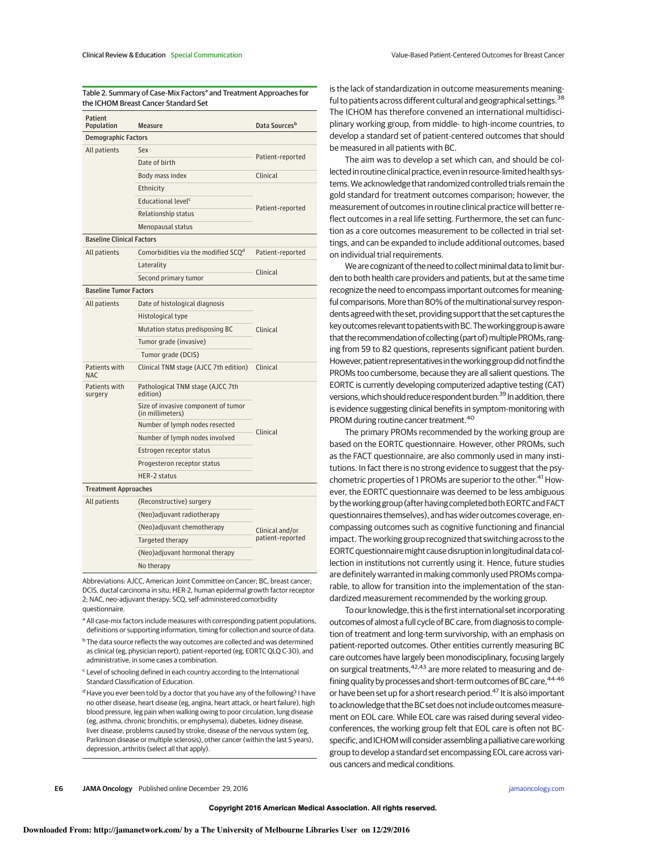Table 2. Summary of Case-Mix Factors<sup>a</sup> and Treatment Approaches for

the ICHOM Breast Cancer Standard Set Patient **Measure Community Community** Data Sources<sup>b</sup> Demographic Factors All patients Sex Patient-reported<br>
Date of birth<br>
Date of birth Body mass index Clinical Ethnicity Patient-reported Educational level<sup>c</sup> Relationship status Menopausal status Baseline Clinical Factors All patients Comorbidities via the modified  $SCQ<sup>d</sup>$  Patient-reported Laterality Clinical Second primary tumor Baseline Tumor Factors All patients Date of histological diagnosis Clinical Histological type Mutation status predisposing BC Tumor grade (invasive) Tumor grade (DCIS) Patients with **NAC** Clinical TNM stage (AJCC 7th edition) Clinical Patients with surgery Pathological TNM stage (AJCC 7th edition) Clinical Size of invasive component of tumor (in millimeters) Number of lymph nodes resected Number of lymph nodes involved Estrogen receptor status Progesteron receptor status HER-2 status Treatment Approaches All patients (Reconstructive) surgery Clinical and/or patient-reported (Neo)adjuvant radiotherapy (Neo)adjuvant chemotherapy Targeted therapy (Neo)adjuvant hormonal therapy

Abbreviations: AJCC, American Joint Committee on Cancer; BC, breast cancer; DCIS, ductal carcinoma in situ; HER-2, human epidermal growth factor receptor 2; NAC, neo-adjuvant therapy; SCQ, self-administered comorbidity questionnaire.

<sup>a</sup> All case-mix factors include measures with corresponding patient populations, definitions or supporting information, timing for collection and source of data.

<sup>b</sup> The data source reflects the way outcomes are collected and was determined as clinical (eg, physician report), patient-reported (eg, EORTC QLQ C-30), and administrative, in some cases a combination.

<sup>c</sup> Level of schooling defined in each country according to the International Standard Classification of Education.

<sup>d</sup> Have you ever been told by a doctor that you have any of the following? I have no other disease, heart disease (eg, angina, heart attack, or heart failure), high blood pressure, leg pain when walking owing to poor circulation, lung disease (eg, asthma, chronic bronchitis, or emphysema), diabetes, kidney disease, liver disease, problems caused by stroke, disease of the nervous system (eg, Parkinson disease or multiple sclerosis), other cancer (within the last 5 years), depression, arthritis (select all that apply).

is the lack of standardization in outcome measurements meaningful to patients across different cultural and geographical settings.<sup>38</sup> The ICHOM has therefore convened an international multidisciplinary working group, from middle- to high-income countries, to develop a standard set of patient-centered outcomes that should be measured in all patients with BC.

The aim was to develop a set which can, and should be collected in routine clinical practice, even in resource-limited health systems.We acknowledge that randomized controlled trials remain the gold standard for treatment outcomes comparison; however, the measurement of outcomes in routine clinical practice will better reflect outcomes in a real life setting. Furthermore, the set can function as a core outcomes measurement to be collected in trial settings, and can be expanded to include additional outcomes, based on individual trial requirements.

We are cognizant of the need to collect minimal data to limit burden to both health care providers and patients, but at the same time recognize the need to encompass important outcomes for meaningful comparisons. More than 80% of the multinational survey respondents agreed with the set, providing support that the set captures the key outcomes relevant to patients with BC. The working group is aware that the recommendation of collecting (part of) multiple PROMs, ranging from 59 to 82 questions, represents significant patient burden. However, patient representatives in the working group did not find the PROMs too cumbersome, because they are all salient questions. The EORTC is currently developing computerized adaptive testing (CAT) versions, which should reduce respondent burden.<sup>39</sup> In addition, there is evidence suggesting clinical benefits in symptom-monitoring with PROM during routine cancer treatment.<sup>40</sup>

The primary PROMs recommended by the working group are based on the EORTC questionnaire. However, other PROMs, such as the FACT questionnaire, are also commonly used in many institutions. In fact there is no strong evidence to suggest that the psychometric properties of 1 PROMs are superior to the other.<sup>41</sup> However, the EORTC questionnaire was deemed to be less ambiguous by theworking group (after having completed both EORTC and FACT questionnaires themselves), and has wider outcomes coverage, encompassing outcomes such as cognitive functioning and financial impact. The working group recognized that switching across to the EORTC questionnaire might cause disruption in longitudinal data collection in institutions not currently using it. Hence, future studies are definitely warranted in making commonly used PROMs comparable, to allow for transition into the implementation of the standardized measurement recommended by the working group.

To our knowledge, this is the first international set incorporating outcomes of almost a full cycle of BC care, from diagnosis to completion of treatment and long-term survivorship, with an emphasis on patient-reported outcomes. Other entities currently measuring BC care outcomes have largely been monodisciplinary, focusing largely on surgical treatments,<sup>42,43</sup> are more related to measuring and defining quality by processes and short-term outcomes of BC care, 44-46 or have been set up for a short research period.<sup>47</sup> It is also important to acknowledge that the BC set does not include outcomes measurement on EOL care. While EOL care was raised during several videoconferences, the working group felt that EOL care is often not BCspecific, and ICHOM will consider assembling a palliative care working group to develop a standard set encompassing EOL care across various cancers and medical conditions.

**E6 JAMA Oncology** Published online December 29, 2016 **(Reprinted)** and the state of the state of the state of the state of the state of the state of the state of the state of the state of the state of the state of the sta

No therapy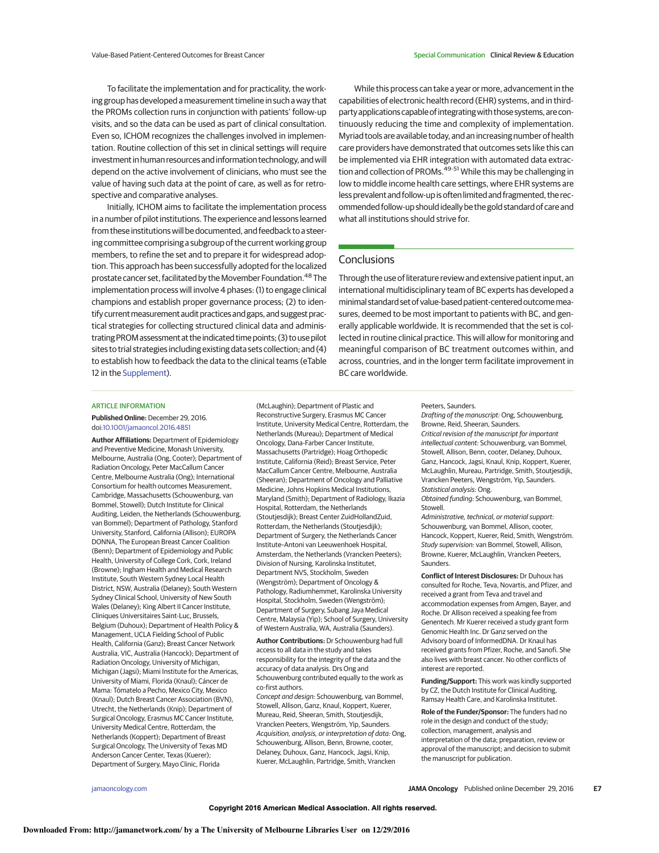To facilitate the implementation and for practicality, the working group has developed a measurement timeline in such a way that the PROMs collection runs in conjunction with patients' follow-up visits, and so the data can be used as part of clinical consultation. Even so, ICHOM recognizes the challenges involved in implementation. Routine collection of this set in clinical settings will require investment in human resources and information technology, and will depend on the active involvement of clinicians, who must see the value of having such data at the point of care, as well as for retrospective and comparative analyses.

Initially, ICHOM aims to facilitate the implementation process in a number of pilot institutions. The experience and lessons learned from these institutions will be documented, and feedback to a steering committee comprising a subgroup of the current working group members, to refine the set and to prepare it for widespread adoption. This approach has been successfully adopted for the localized prostate cancer set, facilitated by the Movember Foundation.<sup>48</sup> The implementation process will involve 4 phases: (1) to engage clinical champions and establish proper governance process; (2) to identify current measurement audit practices and gaps, and suggest practical strategies for collecting structured clinical data and administrating PROM assessment at the indicated time points; (3) to use pilot sites to trial strategies including existing data sets collection; and (4) to establish how to feedback the data to the clinical teams (eTable 12 in the Supplement).

While this process can take a year or more, advancement in the capabilities of electronic health record (EHR) systems, and in thirdparty applications capable of integrating with those systems, are continuously reducing the time and complexity of implementation. Myriad tools are available today, and an increasing number of health care providers have demonstrated that outcomes sets like this can be implemented via EHR integration with automated data extraction and collection of PROMs.<sup>49-51</sup> While this may be challenging in low to middle income health care settings, where EHR systems are less prevalent and follow-up is often limited and fragmented, the recommended follow-up should ideally be the gold standard of care and what all institutions should strive for.

### **Conclusions**

Through the use of literature review and extensive patient input, an international multidisciplinary team of BC experts has developed a minimal standard set ofvalue-based patient-centered outcomemeasures, deemed to be most important to patients with BC, and generally applicable worldwide. It is recommended that the set is collected in routine clinical practice. This will allow for monitoring and meaningful comparison of BC treatment outcomes within, and across, countries, and in the longer term facilitate improvement in BC care worldwide.

#### ARTICLE INFORMATION

#### **Published Online:** December 29, 2016. doi:10.1001/jamaoncol.2016.4851

**Author Affiliations:** Department of Epidemiology and Preventive Medicine, Monash University, Melbourne, Australia (Ong, Cooter); Department of Radiation Oncology, Peter MacCallum Cancer Centre, Melbourne Australia (Ong); International Consortium for health outcomes Measurement, Cambridge, Massachusetts (Schouwenburg, van Bommel, Stowell); Dutch Institute for Clinical Auditing, Leiden, the Netherlands (Schouwenburg, van Bommel); Department of Pathology, Stanford University, Stanford, California (Allison); EUROPA DONNA, The European Breast Cancer Coalition (Benn); Department of Epidemiology and Public Health, University of College Cork, Cork, Ireland (Browne); Ingham Health and Medical Research Institute, South Western Sydney Local Health District, NSW, Australia (Delaney); South Western Sydney Clinical School, University of New South Wales (Delaney); King Albert II Cancer Institute, Cliniques Universitaires Saint-Luc, Brussels, Belgium (Duhoux); Department of Health Policy & Management, UCLA Fielding School of Public Health, California (Ganz); Breast Cancer Network Australia, VIC, Australia (Hancock); Department of Radiation Oncology, University of Michigan, Michigan (Jagsi); Miami Institute for the Americas, University of Miami, Florida (Knaul); Cáncer de Mama: Tómatelo a Pecho, Mexico City, Mexico (Knaul); Dutch Breast Cancer Association (BVN), Utrecht, the Netherlands (Knip); Department of Surgical Oncology, Erasmus MC Cancer Institute, University Medical Centre, Rotterdam, the Netherlands (Koppert); Department of Breast Surgical Oncology, The University of Texas MD Anderson Cancer Center, Texas (Kuerer); Department of Surgery, Mayo Clinic, Florida

(McLaughin); Department of Plastic and Reconstructive Surgery, Erasmus MC Cancer Institute, University Medical Centre, Rotterdam, the Netherlands (Mureau); Department of Medical Oncology, Dana-Farber Cancer Institute, Massachusetts (Partridge); Hoag Orthopedic Institute, California (Reid); Breast Service, Peter MacCallum Cancer Centre, Melbourne, Australia (Sheeran); Department of Oncology and Palliative Medicine, Johns Hopkins Medical Institutions, Maryland (Smith); Department of Radiology, Ikazia Hospital, Rotterdam, the Netherlands (Stoutjesdijk); Breast Center ZuidHollandZuid, Rotterdam, the Netherlands (Stoutiesdijk): Department of Surgery, the Netherlands Cancer Institute–Antoni van Leeuwenhoek Hospital, Amsterdam, the Netherlands (Vrancken Peeters); Division of Nursing, Karolinska Institutet, Department NVS, Stockholm, Sweden (Wengström); Department of Oncology & Pathology, Radiumhemmet, Karolinska University Hospital, Stockholm, Sweden (Wengström); Department of Surgery, Subang Jaya Medical Centre, Malaysia (Yip); School of Surgery, University of Western Australia, WA, Australia (Saunders).

**Author Contributions:** Dr Schouwenburg had full access to all data in the study and takes responsibility for the integrity of the data and the accuracy of data analysis. Drs Ong and Schouwenburg contributed equally to the work as co-first authors.

*Concept and design:* Schouwenburg, van Bommel, Stowell, Allison, Ganz, Knaul, Koppert, Kuerer, Mureau, Reid, Sheeran, Smith, Stoutjesdijk, Vrancken Peeters, Wengström, Yip, Saunders. *Acquisition, analysis, or interpretation of data:* Ong, Schouwenburg, Allison, Benn, Browne, cooter, Delaney, Duhoux, Ganz, Hancock, Jagsi, Knip, Kuerer, McLaughlin, Partridge, Smith, Vrancken

Peeters, Saunders.

*Drafting of the manuscript:* Ong, Schouwenburg, Browne, Reid, Sheeran, Saunders. *Critical revision of the manuscript for important intellectual content:* Schouwenburg, van Bommel,

Stowell, Allison, Benn, cooter, Delaney, Duhoux, Ganz, Hancock, Jagsi, Knaul, Knip, Koppert, Kuerer, McLaughlin, Mureau, Partridge, Smith, Stoutjesdijk, Vrancken Peeters, Wengström, Yip, Saunders. *Statistical analysis:* Ong.

*Obtained funding:* Schouwenburg, van Bommel, Stowell.

*Administrative, technical, or material support:* Schouwenburg, van Bommel, Allison, cooter, Hancock, Koppert, Kuerer, Reid, Smith, Wengström. *Study supervision:* van Bommel, Stowell, Allison, Browne, Kuerer, McLaughlin, Vrancken Peeters, **Saunders** 

**Conflict of Interest Disclosures:** Dr Duhoux has consulted for Roche, Teva, Novartis, and Pfizer, and received a grant from Teva and travel and accommodation expenses from Amgen, Bayer, and Roche. Dr Allison received a speaking fee from Genentech. Mr Kuerer received a study grant form Genomic Health Inc. Dr Ganz served on the Advisory board of InformedDNA. Dr Knaul has received grants from Pfizer, Roche, and Sanofi. She also lives with breast cancer. No other conflicts of interest are reported.

**Funding/Support:** This work was kindly supported by CZ, the Dutch Institute for Clinical Auditing, Ramsay Health Care, and Karolinska Institutet.

**Role of the Funder/Sponsor:** The funders had no role in the design and conduct of the study; collection, management, analysis and interpretation of the data; preparation, review or approval of the manuscript; and decision to submit the manuscript for publication.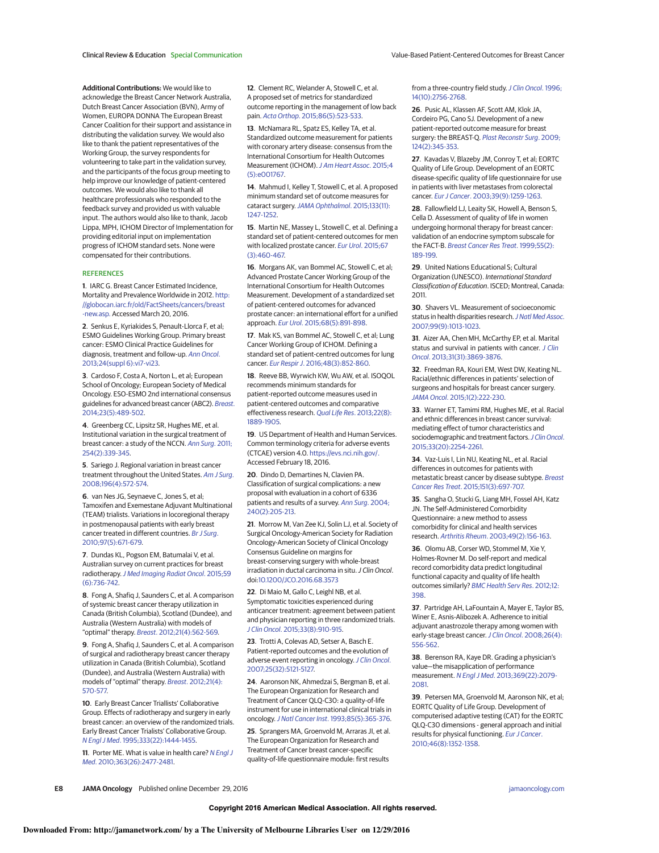**Additional Contributions:** We would like to acknowledge the Breast Cancer Network Australia, Dutch Breast Cancer Association (BVN), Army of Women, EUROPA DONNA The European Breast Cancer Coalition for their support and assistance in distributing the validation survey. We would also like to thank the patient representatives of the Working Group, the survey respondents for volunteering to take part in the validation survey, and the participants of the focus group meeting to help improve our knowledge of patient-centered outcomes. We would also like to thank all healthcare professionals who responded to the feedback survey and provided us with valuable input. The authors would also like to thank, Jacob Lippa, MPH, ICHOM Director of Implementation for providing editorial input on implementation progress of ICHOM standard sets. None were compensated for their contributions.

#### **REFERENCES**

**1**. IARC G. Breast Cancer Estimated Incidence, Mortality and Prevalence Worldwide in 2012. http: //globocan.iarc.fr/old/FactSheets/cancers/breast -new.asp. Accessed March 20, 2016.

**2**. Senkus E, Kyriakides S, Penault-Llorca F, et al; ESMO Guidelines Working Group. Primary breast cancer: ESMO Clinical Practice Guidelines for diagnosis, treatment and follow-up. *Ann Oncol*. 2013;24(suppl 6):vi7-vi23.

**3**. Cardoso F, Costa A, Norton L, et al; European School of Oncology; European Society of Medical Oncology. ESO-ESMO 2nd international consensus guidelines for advanced breast cancer (ABC2). *Breast*. 2014;23(5):489-502.

**4**. Greenberg CC, Lipsitz SR, Hughes ME, et al. Institutional variation in the surgical treatment of breast cancer: a study of the NCCN. *Ann Surg*. 2011; 254(2):339-345.

**5**. Sariego J. Regional variation in breast cancer treatment throughout the United States. *Am J Surg*. 2008;196(4):572-574.

**6**. van Nes JG, Seynaeve C, Jones S, et al; Tamoxifen and Exemestane Adjuvant Multinational (TEAM) trialists. Variations in locoregional therapy in postmenopausal patients with early breast cancer treated in different countries. *Br J Surg*. 2010;97(5):671-679.

**7**. Dundas KL, Pogson EM, Batumalai V, et al. Australian survey on current practices for breast radiotherapy.*J Med Imaging Radiat Oncol*. 2015;59 (6):736-742.

**8**. Fong A, Shafiq J, Saunders C, et al. A comparison of systemic breast cancer therapy utilization in Canada (British Columbia), Scotland (Dundee), and Australia (Western Australia) with models of "optimal" therapy. *Breast*. 2012;21(4):562-569.

**9**. Fong A, Shafiq J, Saunders C, et al. A comparison of surgical and radiotherapy breast cancer therapy utilization in Canada (British Columbia), Scotland (Dundee), and Australia (Western Australia) with models of "optimal" therapy. *Breast*. 2012;21(4): 570-577.

**10**. Early Breast Cancer Triallists' Collaborative Group. Effects of radiotherapy and surgery in early breast cancer: an overview of the randomized trials. Early Breast Cancer Trialists' Collaborative Group. *N Engl J Med*. 1995;333(22):1444-1455.

**11**. Porter ME. What is value in health care? *N Engl J Med*. 2010;363(26):2477-2481.

**12**. Clement RC, Welander A, Stowell C, et al. A proposed set of metrics for standardized outcome reporting in the management of low back pain. *Acta Orthop*. 2015;86(5):523-533.

**13**. McNamara RL, Spatz ES, Kelley TA, et al. Standardized outcome measurement for patients with coronary artery disease: consensus from the International Consortium for Health Outcomes Measurement (ICHOM).*J Am Heart Assoc*. 2015;4 (5):e001767.

**14**. Mahmud I, Kelley T, Stowell C, et al. A proposed minimum standard set of outcome measures for cataract surgery.*JAMA Ophthalmol*. 2015;133(11): 1247-1252.

**15**. Martin NE, Massey L, Stowell C, et al. Defining a standard set of patient-centered outcomes for men with localized prostate cancer. *Eur Urol*. 2015;67 (3):460-467.

**16**. Morgans AK, van Bommel AC, Stowell C, et al; Advanced Prostate Cancer Working Group of the International Consortium for Health Outcomes Measurement. Development of a standardized set of patient-centered outcomes for advanced prostate cancer: an international effort for a unified approach. *Eur Urol*. 2015;68(5):891-898.

**17**. Mak KS, van Bommel AC, Stowell C, et al; Lung Cancer Working Group of ICHOM. Defining a standard set of patient-centred outcomes for lung cancer. *Eur Respir J*. 2016;48(3):852-860.

**18**. Reeve BB, Wyrwich KW, Wu AW, et al. ISOQOL recommends minimum standards for patient-reported outcome measures used in patient-centered outcomes and comparative effectiveness research. *Qual Life Res*. 2013;22(8): 1889-1905.

**19**. US Department of Health and Human Services. Common terminology criteria for adverse events (CTCAE) version 4.0. https://evs.nci.nih.gov/. Accessed February 18, 2016.

**20**. Dindo D, Demartines N, Clavien PA. Classification of surgical complications: a new proposal with evaluation in a cohort of 6336 patients and results of a survey. *Ann Surg*. 2004; 240(2):205-213.

**21**. Morrow M, Van Zee KJ, Solin LJ, et al. Society of Surgical Oncology-American Society for Radiation Oncology-American Society of Clinical Oncology Consensus Guideline on margins for breast-conserving surgery with whole-breast irradiation in ductal carcinoma in situ.*J Clin Oncol*. doi:10.1200/JCO.2016.68.3573

**22**. Di Maio M, Gallo C, Leighl NB, et al. Symptomatic toxicities experienced during anticancer treatment: agreement between patient and physician reporting in three randomized trials. *J Clin Oncol*. 2015;33(8):910-915.

**23**. Trotti A, Colevas AD, Setser A, Basch E. Patient-reported outcomes and the evolution of adverse event reporting in oncology.*J Clin Oncol*. 2007;25(32):5121-5127.

**24**. Aaronson NK, Ahmedzai S, Bergman B, et al. The European Organization for Research and Treatment of Cancer QLQ-C30: a quality-of-life instrument for use in international clinical trials in oncology.*J Natl Cancer Inst*. 1993;85(5):365-376.

**25**. Sprangers MA, Groenvold M, Arraras JI, et al. The European Organization for Research and Treatment of Cancer breast cancer-specific quality-of-life questionnaire module: first results from a three-country field study.*J Clin Oncol*. 1996; 14(10):2756-2768.

**26**. Pusic AL, Klassen AF, Scott AM, Klok JA, Cordeiro PG, Cano SJ. Development of a new patient-reported outcome measure for breast surgery: the BREAST-Q. *Plast Reconstr Surg*. 2009; 124(2):345-353.

**27**. Kavadas V, Blazeby JM, Conroy T, et al; EORTC Quality of Life Group. Development of an EORTC disease-specific quality of life questionnaire for use in patients with liver metastases from colorectal cancer. *Eur J Cancer*. 2003;39(9):1259-1263.

**28**. Fallowfield LJ, Leaity SK, Howell A, Benson S, Cella D. Assessment of quality of life in women undergoing hormonal therapy for breast cancer: validation of an endocrine symptom subscale for the FACT-B. *Breast Cancer Res Treat*. 1999;55(2): 189-199.

**29**. United Nations Educational S; Cultural Organization (UNESCO). *International Standard Classification of Education*. ISCED; Montreal, Canada: 2011.

**30**. Shavers VL. Measurement of socioeconomic status in health disparities research.*J Natl Med Assoc*. 2007;99(9):1013-1023.

**31**. Aizer AA, Chen MH, McCarthy EP, et al. Marital status and survival in patients with cancer. *J Clin Oncol*. 2013;31(31):3869-3876.

**32**. Freedman RA, Kouri EM, West DW, Keating NL. Racial/ethnic differences in patients' selection of surgeons and hospitals for breast cancer surgery. *JAMA Oncol*. 2015;1(2):222-230.

**33**. Warner ET, Tamimi RM, Hughes ME, et al. Racial and ethnic differences in breast cancer survival: mediating effect of tumor characteristics and sociodemographic and treatment factors.*J Clin Oncol*. 2015;33(20):2254-2261.

**34**. Vaz-Luis I, Lin NU, Keating NL, et al. Racial differences in outcomes for patients with metastatic breast cancer by disease subtype. *Breast Cancer Res Treat*. 2015;151(3):697-707.

**35**. Sangha O, Stucki G, Liang MH, Fossel AH, Katz JN. The Self-Administered Comorbidity Questionnaire: a new method to assess comorbidity for clinical and health services research. *Arthritis Rheum*. 2003;49(2):156-163.

**36**. Olomu AB, Corser WD, Stommel M, Xie Y, Holmes-Rovner M. Do self-report and medical record comorbidity data predict longitudinal functional capacity and quality of life health outcomes similarly? *BMC Health Serv Res*. 2012;12: 398.

**37**. Partridge AH, LaFountain A, Mayer E, Taylor BS, Winer E, Asnis-Alibozek A. Adherence to initial adjuvant anastrozole therapy among women with early-stage breast cancer.*J Clin Oncol*. 2008;26(4): 556-562.

**38**. Berenson RA, Kaye DR. Grading a physician's value—the misapplication of performance measurement. *N Engl J Med*. 2013;369(22):2079- 2081.

**39**. Petersen MA, Groenvold M, Aaronson NK, et al; EORTC Quality of Life Group. Development of computerised adaptive testing (CAT) for the EORTC QLQ-C30 dimensions - general approach and initial results for physical functioning. *Eur J Cancer*. 2010;46(8):1352-1358.

**E8 JAMA Oncology** Published online December 29, 2016 **(Reprinted)** and the state of the state of the state of the state of the state of the state of the state of the state of the state of the state of the state of the sta